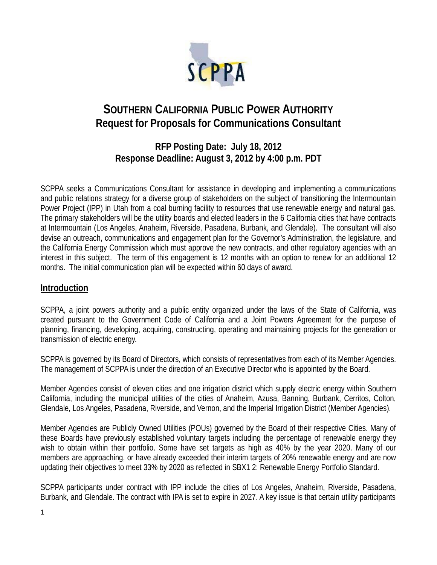

# **SOUTHERN CALIFORNIA PUBLIC POWER AUTHORITY Request for Proposals for Communications Consultant**

# **RFP Posting Date: July 18, 2012 Response Deadline: August 3, 2012 by 4:00 p.m. PDT**

SCPPA seeks a Communications Consultant for assistance in developing and implementing a communications and public relations strategy for a diverse group of stakeholders on the subject of transitioning the Intermountain Power Project (IPP) in Utah from a coal burning facility to resources that use renewable energy and natural gas. The primary stakeholders will be the utility boards and elected leaders in the 6 California cities that have contracts at Intermountain (Los Angeles, Anaheim, Riverside, Pasadena, Burbank, and Glendale). The consultant will also devise an outreach, communications and engagement plan for the Governor's Administration, the legislature, and the California Energy Commission which must approve the new contracts, and other regulatory agencies with an interest in this subject. The term of this engagement is 12 months with an option to renew for an additional 12 months. The initial communication plan will be expected within 60 days of award.

### **Introduction**

SCPPA, a joint powers authority and a public entity organized under the laws of the State of California, was created pursuant to the Government Code of California and a Joint Powers Agreement for the purpose of planning, financing, developing, acquiring, constructing, operating and maintaining projects for the generation or transmission of electric energy.

SCPPA is governed by its Board of Directors, which consists of representatives from each of its Member Agencies. The management of SCPPA is under the direction of an Executive Director who is appointed by the Board.

Member Agencies consist of eleven cities and one irrigation district which supply electric energy within Southern California, including the municipal utilities of the cities of Anaheim, Azusa, Banning, Burbank, Cerritos, Colton, Glendale, Los Angeles, Pasadena, Riverside, and Vernon, and the Imperial Irrigation District (Member Agencies).

Member Agencies are Publicly Owned Utilities (POUs) governed by the Board of their respective Cities. Many of these Boards have previously established voluntary targets including the percentage of renewable energy they wish to obtain within their portfolio. Some have set targets as high as 40% by the year 2020. Many of our members are approaching, or have already exceeded their interim targets of 20% renewable energy and are now updating their objectives to meet 33% by 2020 as reflected in SBX1 2: Renewable Energy Portfolio Standard.

SCPPA participants under contract with IPP include the cities of Los Angeles, Anaheim, Riverside, Pasadena, Burbank, and Glendale. The contract with IPA is set to expire in 2027. A key issue is that certain utility participants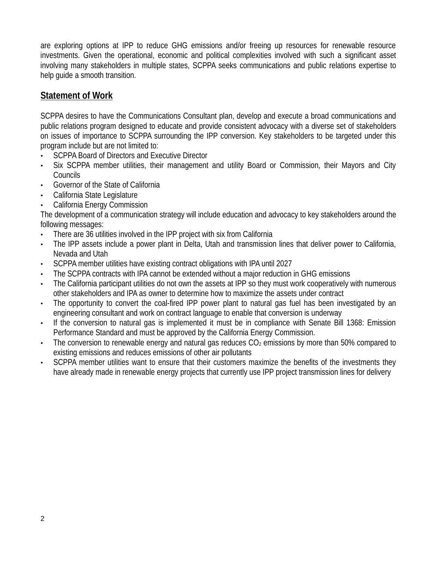are exploring options at IPP to reduce GHG emissions and/or freeing up resources for renewable resource investments. Given the operational, economic and political complexities involved with such a significant asset involving many stakeholders in multiple states, SCPPA seeks communications and public relations expertise to help quide a smooth transition.

# **Statement of Work**

SCPPA desires to have the Communications Consultant plan, develop and execute a broad communications and public relations program designed to educate and provide consistent advocacy with a diverse set of stakeholders on issues of importance to SCPPA surrounding the IPP conversion. Key stakeholders to be targeted under this program include but are not limited to:

- SCPPA Board of Directors and Executive Director
- Six SCPPA member utilities, their management and utility Board or Commission, their Mayors and City Councils
- Governor of the State of California
- California State Legislature
- California Energy Commission

The development of a communication strategy will include education and advocacy to key stakeholders around the following messages:

- There are 36 utilities involved in the IPP project with six from California
- The IPP assets include a power plant in Delta, Utah and transmission lines that deliver power to California, Nevada and Utah
- SCPPA member utilities have existing contract obligations with IPA until 2027
- The SCPPA contracts with IPA cannot be extended without a major reduction in GHG emissions
- The California participant utilities do not own the assets at IPP so they must work cooperatively with numerous other stakeholders and IPA as owner to determine how to maximize the assets under contract
- The opportunity to convert the coal-fired IPP power plant to natural gas fuel has been investigated by an engineering consultant and work on contract language to enable that conversion is underway
- If the conversion to natural gas is implemented it must be in compliance with Senate Bill 1368: Emission Performance Standard and must be approved by the California Energy Commission.
- The conversion to renewable energy and natural gas reduces  $CO<sub>2</sub>$  emissions by more than 50% compared to existing emissions and reduces emissions of other air pollutants
- SCPPA member utilities want to ensure that their customers maximize the benefits of the investments they have already made in renewable energy projects that currently use IPP project transmission lines for delivery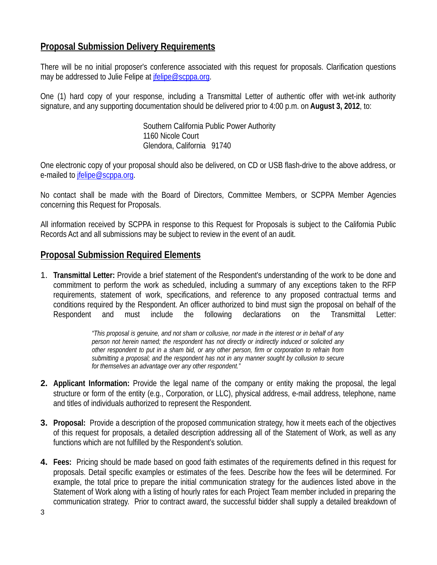## **Proposal Submission Delivery Requirements**

There will be no initial proposer's conference associated with this request for proposals. Clarification questions may be addressed to Julie Felipe at *jfelipe@scppa.org.* 

One (1) hard copy of your response, including a Transmittal Letter of authentic offer with wet-ink authority signature, and any supporting documentation should be delivered prior to 4:00 p.m. on **August 3, 2012**, to:

> Southern California Public Power Authority 1160 Nicole Court Glendora, California 91740

One electronic copy of your proposal should also be delivered, on CD or USB flash-drive to the above address, or e-mailed to jfelipe@scppa.org.

No contact shall be made with the Board of Directors, Committee Members, or SCPPA Member Agencies concerning this Request for Proposals.

All information received by SCPPA in response to this Request for Proposals is subject to the California Public Records Act and all submissions may be subject to review in the event of an audit.

#### **Proposal Submission Required Elements**

1. **Transmittal Letter:** Provide a brief statement of the Respondent's understanding of the work to be done and commitment to perform the work as scheduled, including a summary of any exceptions taken to the RFP requirements, statement of work, specifications, and reference to any proposed contractual terms and conditions required by the Respondent. An officer authorized to bind must sign the proposal on behalf of the Respondent and must include the following declarations on the Transmittal Letter:

> *"This proposal is genuine, and not sham or collusive, nor made in the interest or in behalf of any person not herein named; the respondent has not directly or indirectly induced or solicited any other respondent to put in a sham bid, or any other person, firm or corporation to refrain from submitting a proposal; and the respondent has not in any manner sought by collusion to secure for themselves an advantage over any other respondent."*

- **2. Applicant Information:** Provide the legal name of the company or entity making the proposal, the legal structure or form of the entity (e.g., Corporation, or LLC), physical address, e-mail address, telephone, name and titles of individuals authorized to represent the Respondent.
- **3. Proposal:** Provide a description of the proposed communication strategy, how it meets each of the objectives of this request for proposals, a detailed description addressing all of the Statement of Work, as well as any functions which are not fulfilled by the Respondent's solution.
- **4. Fees:** Pricing should be made based on good faith estimates of the requirements defined in this request for proposals. Detail specific examples or estimates of the fees. Describe how the fees will be determined. For example, the total price to prepare the initial communication strategy for the audiences listed above in the Statement of Work along with a listing of hourly rates for each Project Team member included in preparing the communication strategy. Prior to contract award, the successful bidder shall supply a detailed breakdown of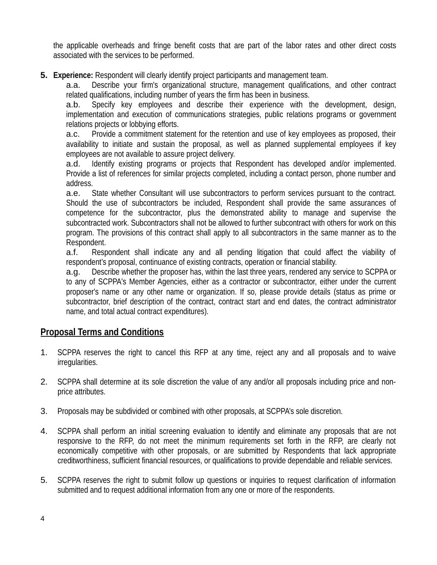the applicable overheads and fringe benefit costs that are part of the labor rates and other direct costs associated with the services to be performed.

**5. Experience:** Respondent will clearly identify project participants and management team.

a.a. Describe your firm's organizational structure, management qualifications, and other contract related qualifications, including number of years the firm has been in business.

a.b. Specify key employees and describe their experience with the development, design, implementation and execution of communications strategies, public relations programs or government relations projects or lobbying efforts.

a.c. Provide a commitment statement for the retention and use of key employees as proposed, their availability to initiate and sustain the proposal, as well as planned supplemental employees if key employees are not available to assure project delivery.

a.d. Identify existing programs or projects that Respondent has developed and/or implemented. Provide a list of references for similar projects completed, including a contact person, phone number and address.

a.e. State whether Consultant will use subcontractors to perform services pursuant to the contract. Should the use of subcontractors be included, Respondent shall provide the same assurances of competence for the subcontractor, plus the demonstrated ability to manage and supervise the subcontracted work. Subcontractors shall not be allowed to further subcontract with others for work on this program. The provisions of this contract shall apply to all subcontractors in the same manner as to the Respondent.

a.f. Respondent shall indicate any and all pending litigation that could affect the viability of respondent's proposal, continuance of existing contracts, operation or financial stability.

a.g. Describe whether the proposer has, within the last three years, rendered any service to SCPPA or to any of SCPPA's Member Agencies, either as a contractor or subcontractor, either under the current proposer's name or any other name or organization. If so, please provide details (status as prime or subcontractor, brief description of the contract, contract start and end dates, the contract administrator name, and total actual contract expenditures).

# **Proposal Terms and Conditions**

- 1. SCPPA reserves the right to cancel this RFP at any time, reject any and all proposals and to waive irregularities.
- 2. SCPPA shall determine at its sole discretion the value of any and/or all proposals including price and nonprice attributes.
- 3. Proposals may be subdivided or combined with other proposals, at SCPPA's sole discretion.
- 4. SCPPA shall perform an initial screening evaluation to identify and eliminate any proposals that are not responsive to the RFP, do not meet the minimum requirements set forth in the RFP, are clearly not economically competitive with other proposals, or are submitted by Respondents that lack appropriate creditworthiness, sufficient financial resources, or qualifications to provide dependable and reliable services.
- 5. SCPPA reserves the right to submit follow up questions or inquiries to request clarification of information submitted and to request additional information from any one or more of the respondents.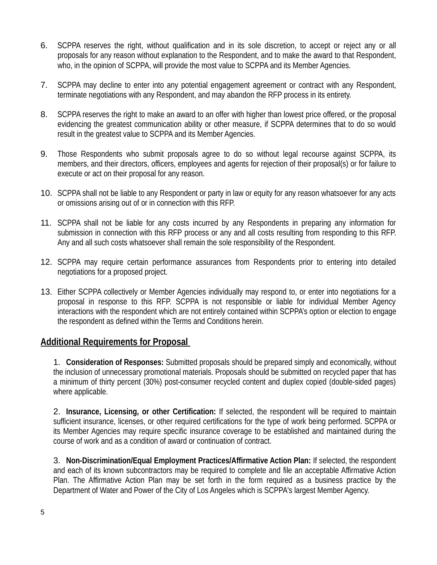- 6. SCPPA reserves the right, without qualification and in its sole discretion, to accept or reject any or all proposals for any reason without explanation to the Respondent, and to make the award to that Respondent, who, in the opinion of SCPPA, will provide the most value to SCPPA and its Member Agencies.
- 7. SCPPA may decline to enter into any potential engagement agreement or contract with any Respondent, terminate negotiations with any Respondent, and may abandon the RFP process in its entirety.
- 8. SCPPA reserves the right to make an award to an offer with higher than lowest price offered, or the proposal evidencing the greatest communication ability or other measure, if SCPPA determines that to do so would result in the greatest value to SCPPA and its Member Agencies.
- 9. Those Respondents who submit proposals agree to do so without legal recourse against SCPPA, its members, and their directors, officers, employees and agents for rejection of their proposal(s) or for failure to execute or act on their proposal for any reason.
- 10. SCPPA shall not be liable to any Respondent or party in law or equity for any reason whatsoever for any acts or omissions arising out of or in connection with this RFP.
- 11. SCPPA shall not be liable for any costs incurred by any Respondents in preparing any information for submission in connection with this RFP process or any and all costs resulting from responding to this RFP. Any and all such costs whatsoever shall remain the sole responsibility of the Respondent.
- 12. SCPPA may require certain performance assurances from Respondents prior to entering into detailed negotiations for a proposed project.
- 13. Either SCPPA collectively or Member Agencies individually may respond to, or enter into negotiations for a proposal in response to this RFP. SCPPA is not responsible or liable for individual Member Agency interactions with the respondent which are not entirely contained within SCPPA's option or election to engage the respondent as defined within the Terms and Conditions herein.

#### **Additional Requirements for Proposal**

1. **Consideration of Responses:** Submitted proposals should be prepared simply and economically, without the inclusion of unnecessary promotional materials. Proposals should be submitted on recycled paper that has a minimum of thirty percent (30%) post-consumer recycled content and duplex copied (double-sided pages) where applicable.

2. **Insurance, Licensing, or other Certification:** If selected, the respondent will be required to maintain sufficient insurance, licenses, or other required certifications for the type of work being performed. SCPPA or its Member Agencies may require specific insurance coverage to be established and maintained during the course of work and as a condition of award or continuation of contract.

3. **Non-Discrimination/Equal Employment Practices/Affirmative Action Plan:** If selected, the respondent and each of its known subcontractors may be required to complete and file an acceptable Affirmative Action Plan. The Affirmative Action Plan may be set forth in the form required as a business practice by the Department of Water and Power of the City of Los Angeles which is SCPPA's largest Member Agency.